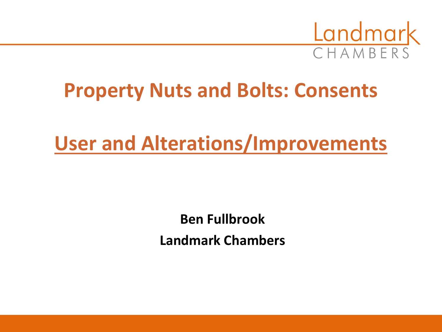

# **Property Nuts and Bolts: Consents**

# **User and Alterations/Improvements**

**Ben Fullbrook Landmark Chambers**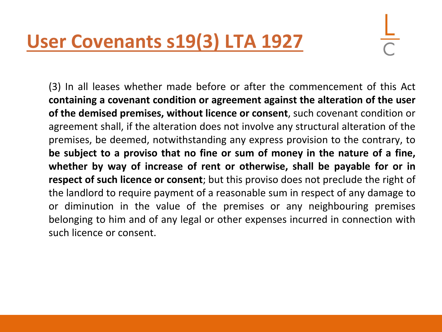# **User Covenants s19(3) LTA 1927**

(3) In all leases whether made before or after the commencement of this Act **containing a covenant condition or agreement against the alteration of the user of the demised premises, without licence or consent**, such covenant condition or agreement shall, if the alteration does not involve any structural alteration of the premises, be deemed, notwithstanding any express provision to the contrary, to **be subject to a proviso that no fine or sum of money in the nature of a fine, whether by way of increase of rent or otherwise, shall be payable for or in respect of such licence or consent**; but this proviso does not preclude the right of the landlord to require payment of a reasonable sum in respect of any damage to or diminution in the value of the premises or any neighbouring premises belonging to him and of any legal or other expenses incurred in connection with such licence or consent.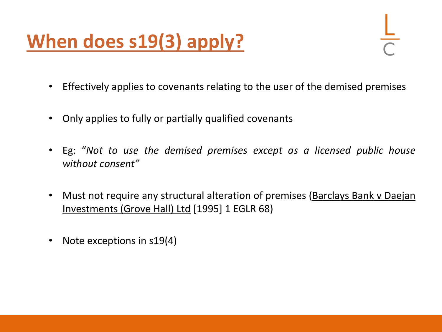# **When does s19(3) apply?**

- Effectively applies to covenants relating to the user of the demised premises
- Only applies to fully or partially qualified covenants
- Eg: "*Not to use the demised premises except as a licensed public house without consent"*
- Must not require any structural alteration of premises (Barclays Bank v Daejan Investments (Grove Hall) Ltd [1995] 1 EGLR 68)
- Note exceptions in s19(4)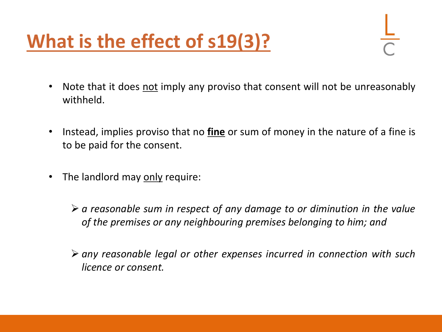# **What is the effect of s19(3)?**

- Note that it does not imply any proviso that consent will not be unreasonably withheld.
- Instead, implies proviso that no **fine** or sum of money in the nature of a fine is to be paid for the consent.
- The landlord may only require:
	- ➢ *a reasonable sum in respect of any damage to or diminution in the value of the premises or any neighbouring premises belonging to him; and*
	- ➢ *any reasonable legal or other expenses incurred in connection with such licence or consent.*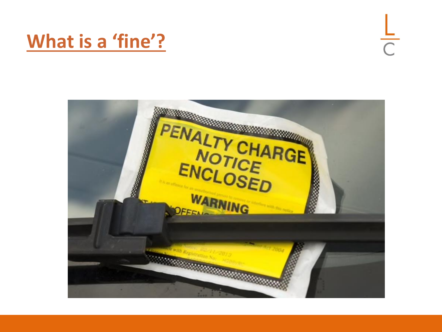# **What is a 'fine'?**

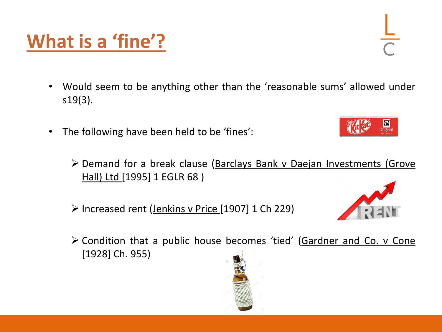- Would seem to be anything other than the 'reasonable sums' allowed under s19(3).
- The following have been held to be 'fines':
	- ➢ Demand for a break clause (Barclays Bank v Daejan Investments (Grove Hall) Ltd [1995] 1 EGLR 68 )
	- ➢ Increased rent (Jenkins v Price [1907] 1 Ch 229)
	- ➢ Condition that a public house becomes 'tied' (Gardner and Co. v Cone [1928] Ch. 955)







# **What is a 'fine'?**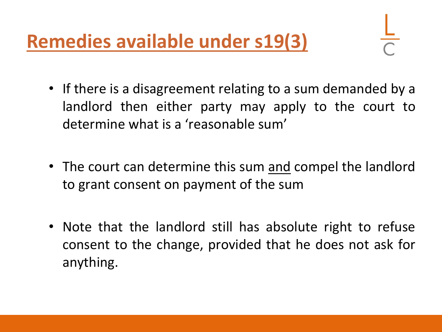**Remedies available under s19(3)**

- If there is a disagreement relating to a sum demanded by a landlord then either party may apply to the court to determine what is a 'reasonable sum'
- The court can determine this sum and compel the landlord to grant consent on payment of the sum
- Note that the landlord still has absolute right to refuse consent to the change, provided that he does not ask for anything.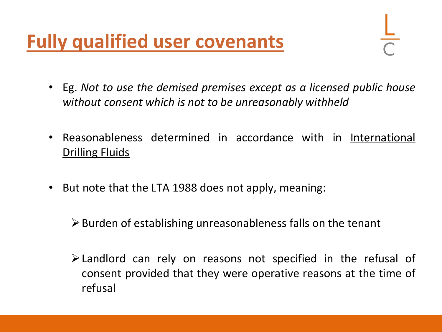# **Fully qualified user covenants**

- Eg. *Not to use the demised premises except as a licensed public house without consent which is not to be unreasonably withheld*
- Reasonableness determined in accordance with in International Drilling Fluids
- But note that the LTA 1988 does not apply, meaning:

 $\triangleright$  Burden of establishing unreasonableness falls on the tenant

➢Landlord can rely on reasons not specified in the refusal of consent provided that they were operative reasons at the time of refusal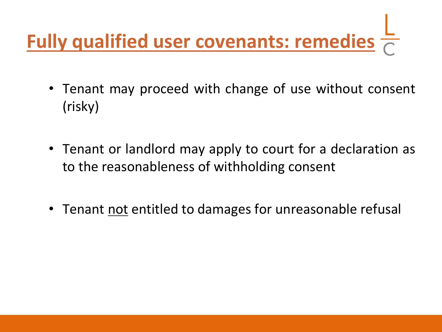# **Fully qualified user covenants: remedies**

- Tenant may proceed with change of use without consent (risky)
- Tenant or landlord may apply to court for a declaration as to the reasonableness of withholding consent
- Tenant not entitled to damages for unreasonable refusal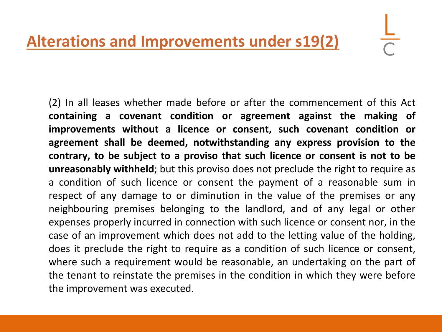(2) In all leases whether made before or after the commencement of this Act **containing a covenant condition or agreement against the making of improvements without a licence or consent, such covenant condition or agreement shall be deemed, notwithstanding any express provision to the contrary, to be subject to a proviso that such licence or consent is not to be unreasonably withheld**; but this proviso does not preclude the right to require as a condition of such licence or consent the payment of a reasonable sum in respect of any damage to or diminution in the value of the premises or any neighbouring premises belonging to the landlord, and of any legal or other expenses properly incurred in connection with such licence or consent nor, in the case of an improvement which does not add to the letting value of the holding, does it preclude the right to require as a condition of such licence or consent, where such a requirement would be reasonable, an undertaking on the part of the tenant to reinstate the premises in the condition in which they were before the improvement was executed.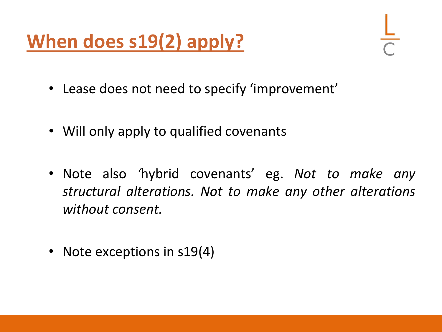# **When does s19(2) apply?**

- Lease does not need to specify 'improvement'
- Will only apply to qualified covenants
- Note also *'*hybrid covenants' eg. *Not to make any structural alterations. Not to make any other alterations without consent.*
- Note exceptions in s19(4)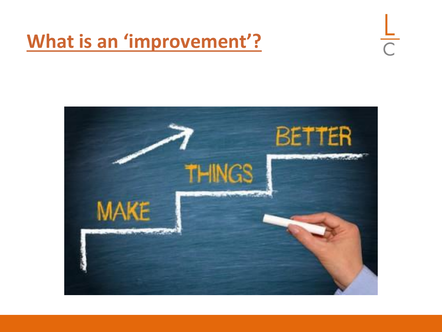## **What is an 'improvement'?**



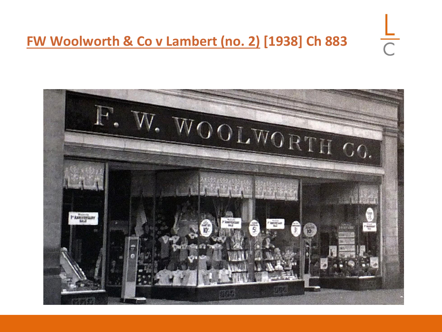### **FW Woolworth & Co v Lambert (no. 2) [1938] Ch 883**



 $\frac{1}{C}$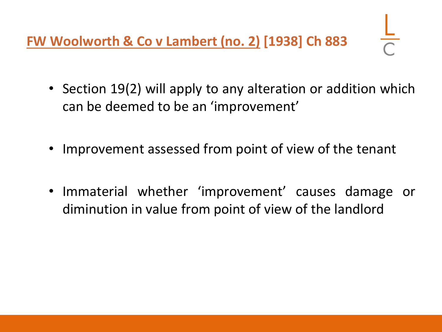**FW Woolworth & Co v Lambert (no. 2) [1938] Ch 883** 

- Section 19(2) will apply to any alteration or addition which can be deemed to be an 'improvement'
- Improvement assessed from point of view of the tenant
- Immaterial whether 'improvement' causes damage or diminution in value from point of view of the landlord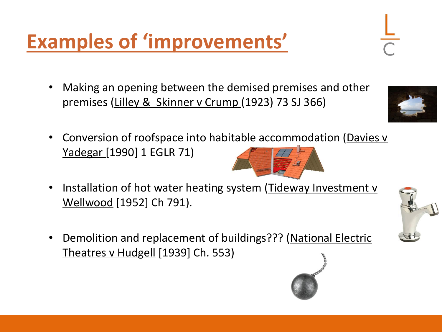• Making an opening between the demised premises and other premises (Lilley & Skinner v Crump (1923) 73 SJ 366)

- Conversion of roofspace into habitable accommodation (Davies v Yadegar [1990] 1 EGLR 71)
- Installation of hot water heating system (Tideway Investment v Wellwood [1952] Ch 791).
- Demolition and replacement of buildings??? (National Electric Theatres v Hudgell [1939] Ch. 553)









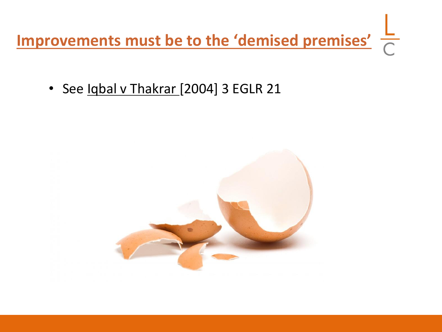**Improvements must be to the 'demised premises'**

• See Iqbal v Thakrar [2004] 3 EGLR 21

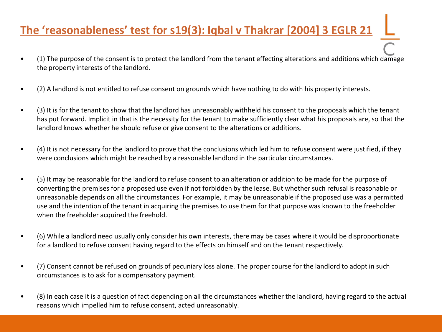### **The 'reasonableness' test for s19(3): Iqbal v Thakrar [2004] 3 EGLR 21**

- (1) The purpose of the consent is to protect the landlord from the tenant effecting alterations and additions which damage the property interests of the landlord.
- (2) A landlord is not entitled to refuse consent on grounds which have nothing to do with his property interests.
- (3) It is for the tenant to show that the landlord has unreasonably withheld his consent to the proposals which the tenant has put forward. Implicit in that is the necessity for the tenant to make sufficiently clear what his proposals are, so that the landlord knows whether he should refuse or give consent to the alterations or additions.
- (4) It is not necessary for the landlord to prove that the conclusions which led him to refuse consent were justified, if they were conclusions which might be reached by a reasonable landlord in the particular circumstances.
- (5) It may be reasonable for the landlord to refuse consent to an alteration or addition to be made for the purpose of converting the premises for a proposed use even if not forbidden by the lease. But whether such refusal is reasonable or unreasonable depends on all the circumstances. For example, it may be unreasonable if the proposed use was a permitted use and the intention of the tenant in acquiring the premises to use them for that purpose was known to the freeholder when the freeholder acquired the freehold.
- (6) While a landlord need usually only consider his own interests, there may be cases where it would be disproportionate for a landlord to refuse consent having regard to the effects on himself and on the tenant respectively.
- (7) Consent cannot be refused on grounds of pecuniary loss alone. The proper course for the landlord to adopt in such circumstances is to ask for a compensatory payment.
- (8) In each case it is a question of fact depending on all the circumstances whether the landlord, having regard to the actual reasons which impelled him to refuse consent, acted unreasonably.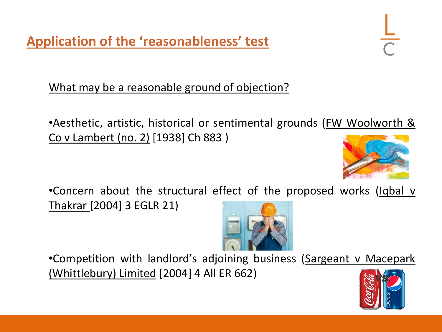**Application of the 'reasonableness' test**

What may be a reasonable ground of objection?

•Aesthetic, artistic, historical or sentimental grounds (FW Woolworth & Co v Lambert (no. 2) [1938] Ch 883 )



•Concern about the structural effect of the proposed works (Iqbal v Thakrar [2004] 3 EGLR 21)



•Competition with landlord's adjoining business (Sargeant v Macepark (Whittlebury) Limited [2004] 4 All ER 662)

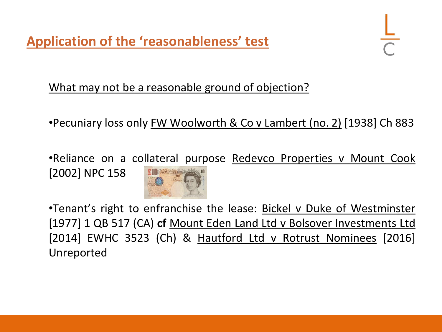**Application of the 'reasonableness' test**

#### What may not be a reasonable ground of objection?

•Pecuniary loss only FW Woolworth & Co v Lambert (no. 2) [1938] Ch 883

•Reliance on a collateral purpose Redevco Properties v Mount Cook [2002] NPC 158



•Tenant's right to enfranchise the lease: Bickel v Duke of Westminster [1977] 1 QB 517 (CA) **cf** Mount Eden Land Ltd v Bolsover Investments Ltd [2014] EWHC 3523 (Ch) & Hautford Ltd v Rotrust Nominees [2016] Unreported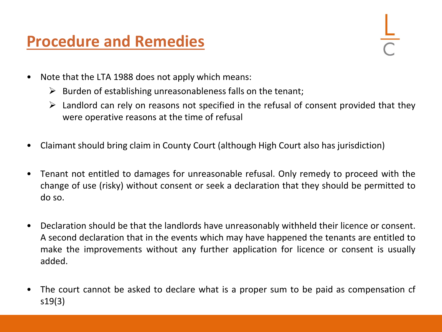### **Procedure and Remedies**

- Note that the LTA 1988 does not apply which means:
	- $\triangleright$  Burden of establishing unreasonableness falls on the tenant;
	- $\triangleright$  Landlord can rely on reasons not specified in the refusal of consent provided that they were operative reasons at the time of refusal
- Claimant should bring claim in County Court (although High Court also has jurisdiction)
- Tenant not entitled to damages for unreasonable refusal. Only remedy to proceed with the change of use (risky) without consent or seek a declaration that they should be permitted to do so.
- Declaration should be that the landlords have unreasonably withheld their licence or consent. A second declaration that in the events which may have happened the tenants are entitled to make the improvements without any further application for licence or consent is usually added.
- The court cannot be asked to declare what is a proper sum to be paid as compensation of s19(3)